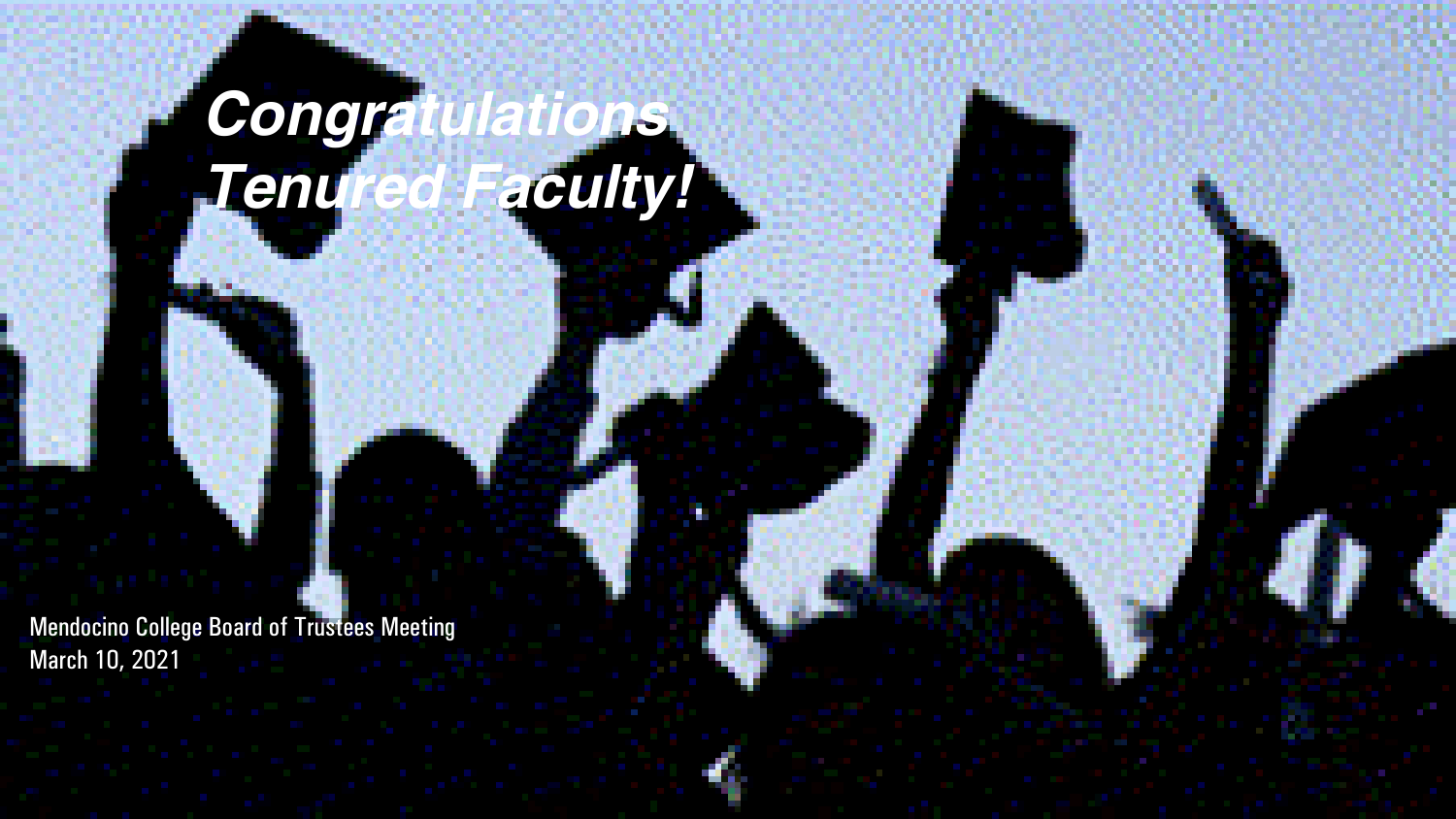# *Congratulations Tenured Faculty!*

Mendocino College Board of Trustees Meeting March 10, 2021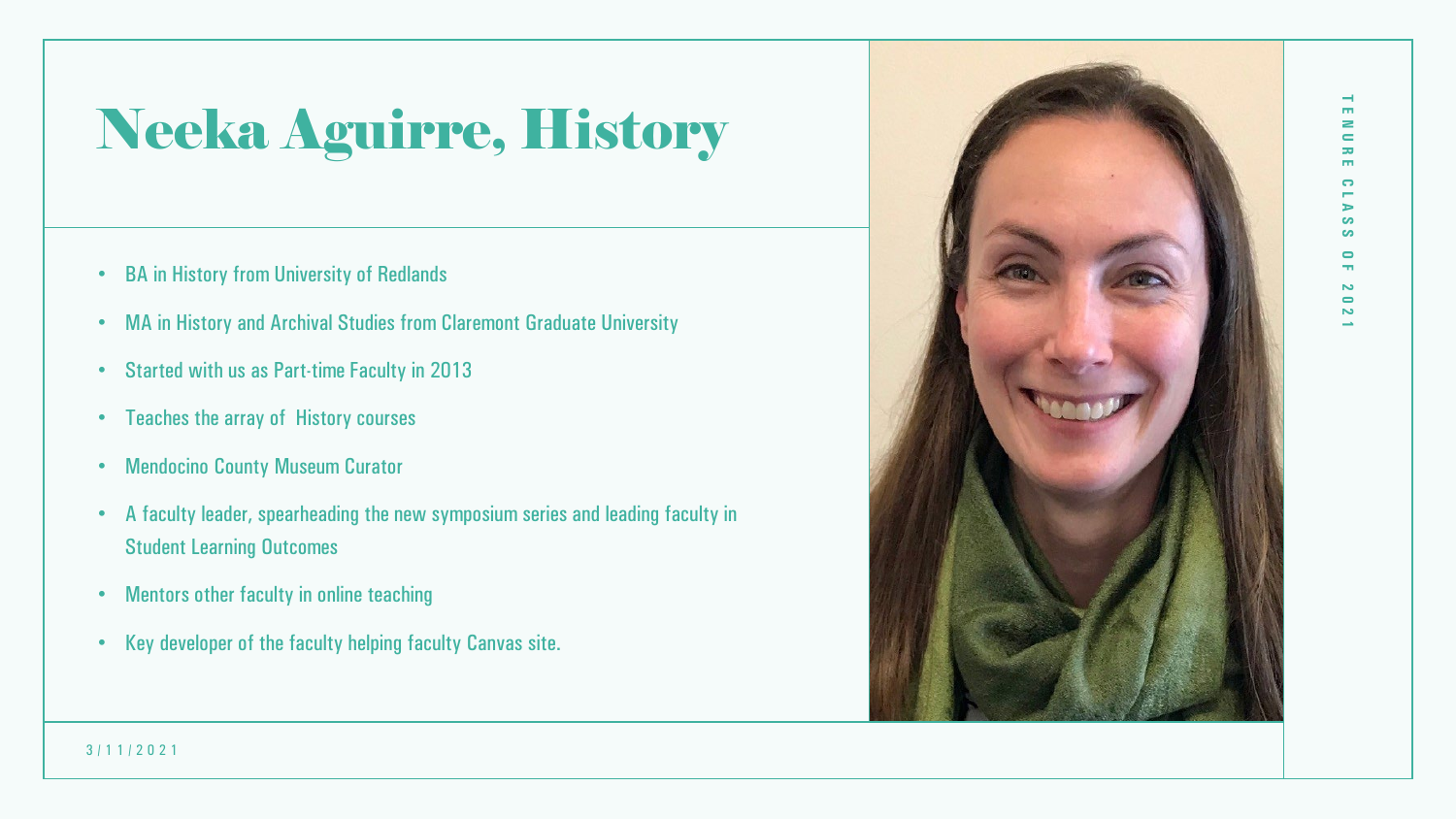## Neeka Aguirre, History

- BA in History from University of Redlands
- MA in History and Archival Studies from Claremont Graduate University
- Started with us as Part-time Faculty in 2013
- Teaches the array of History courses
- Mendocino County Museum Curator
- A faculty leader, spearheading the new symposium series and leading faculty in Student Learning Outcomes
- Mentors other faculty in online teaching
- Key developer of the faculty helping faculty Canvas site.



**TENURE CLASS OF 2021**

**CO S**  $\blacksquare$ 

2  $\equiv$ 55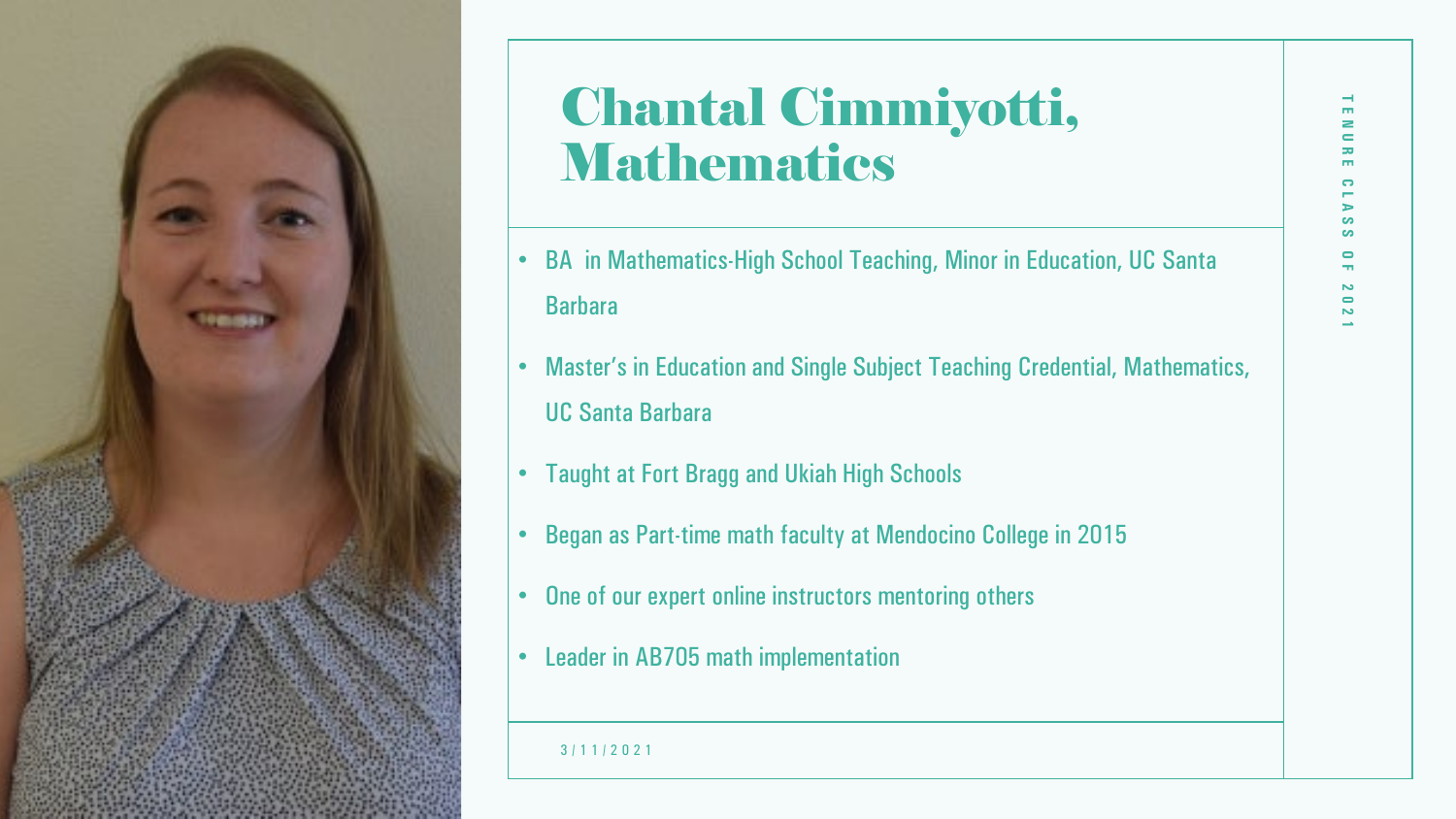

### Chantal Cimmiyotti, Mathematics

- BA in Mathematics-High School Teaching, Minor in Education, UC Santa **Barbara**
- Master's in Education and Single Subject Teaching Credential, Mathematics, UC Santa Barbara
- Taught at Fort Bragg and Ukiah High Schools
- Began as Part-time math faculty at Mendocino College in 2015
- One of our expert online instructors mentoring others
- Leader in AB705 math implementation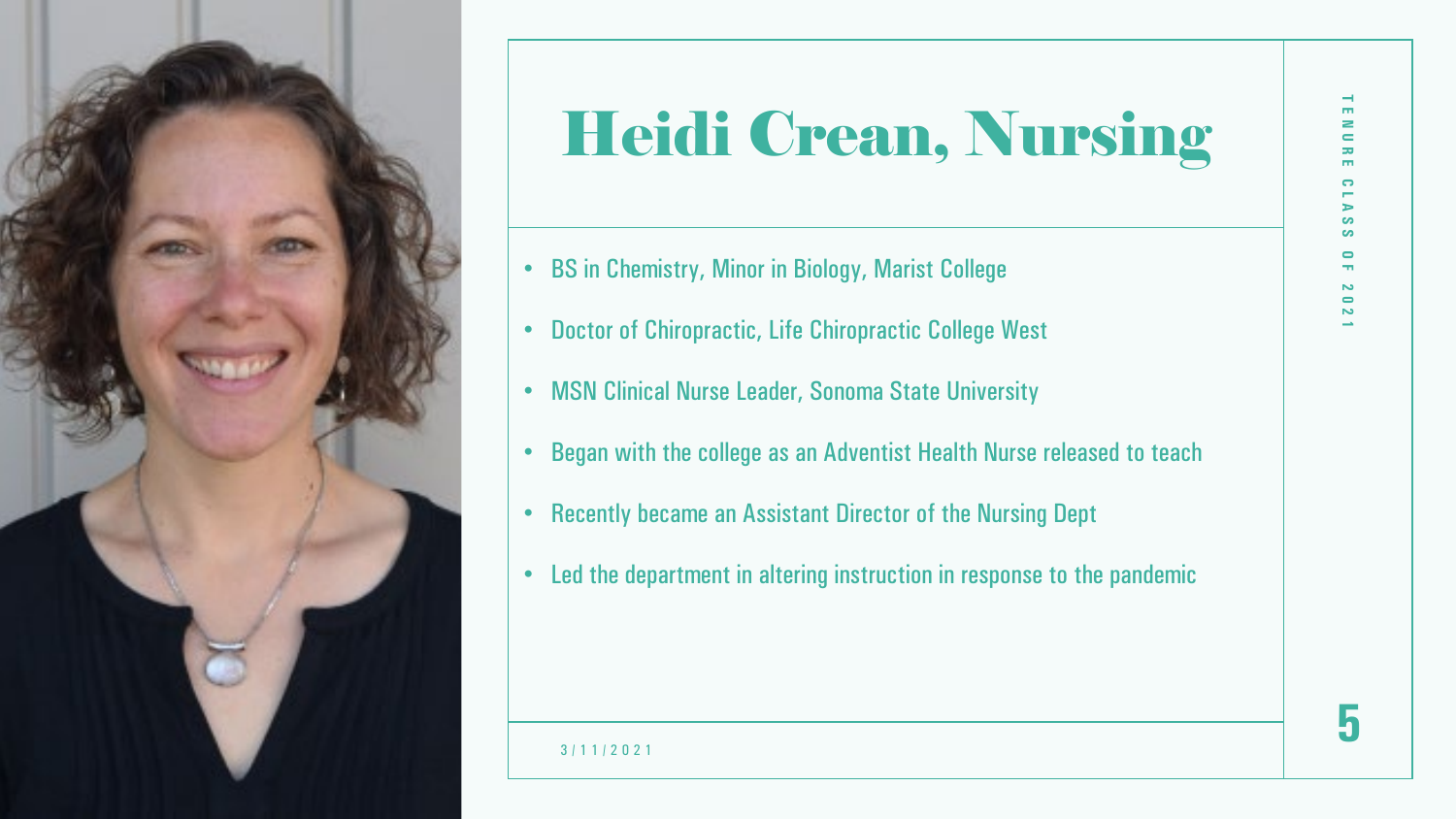

# Heidi Crean, Nursing

- BS in Chemistry, Minor in Biology, Marist College
- Doctor of Chiropractic, Life Chiropractic College West
- MSN Clinical Nurse Leader, Sonoma State University
- Began with the college as an Adventist Health Nurse released to teach
- Recently became an Assistant Director of the Nursing Dept
- Led the department in altering instruction in response to the pandemic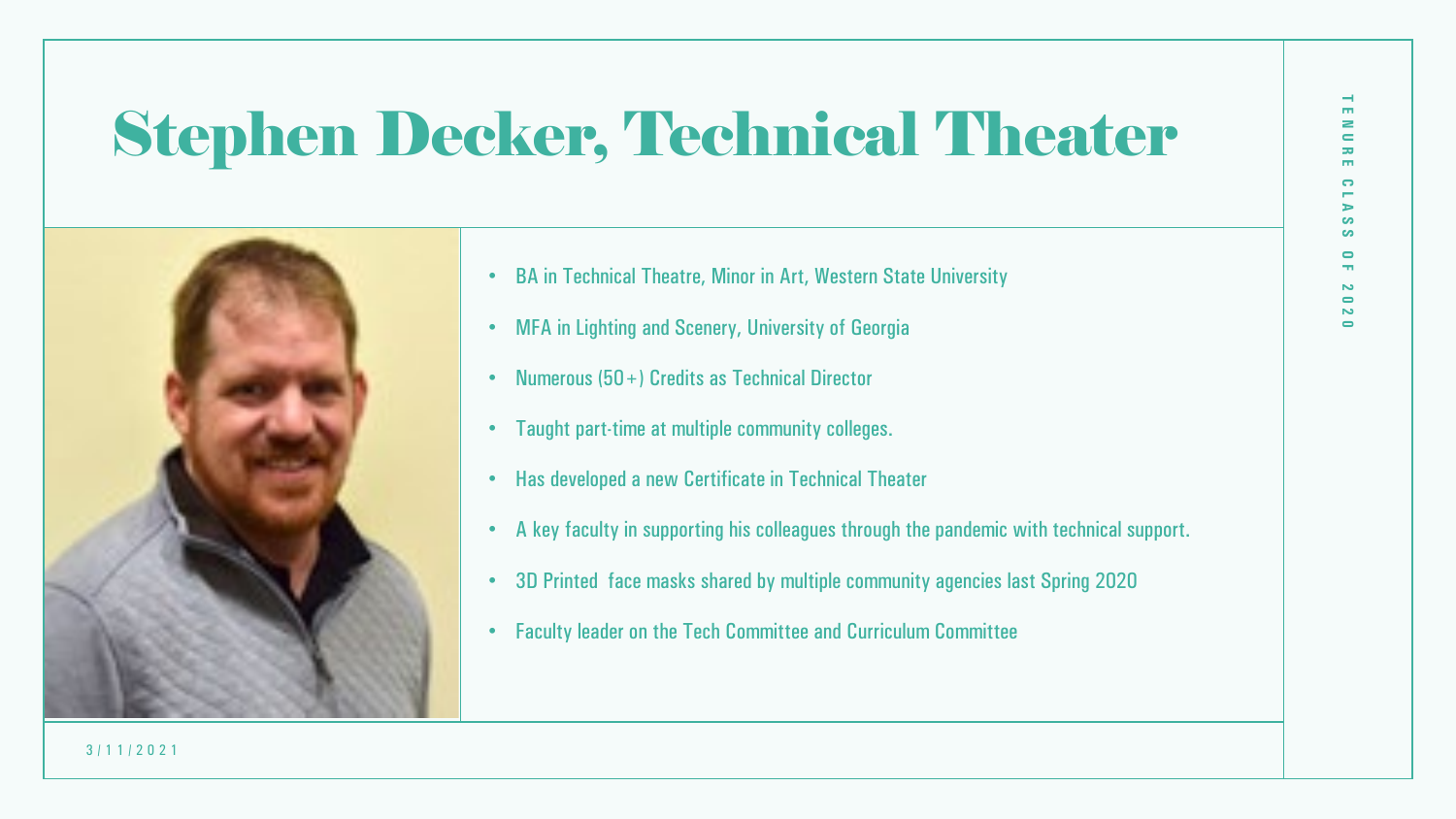## Stephen Decker, Technical Theater



- BA in Technical Theatre, Minor in Art, Western State University
- MFA in Lighting and Scenery, University of Georgia
- Numerous (50+) Credits as Technical Director
- Taught part-time at multiple community colleges.
- Has developed a new Certificate in Technical Theater
- A key faculty in supporting his colleagues through the pandemic with technical support.
- 3D Printed face masks shared by multiple community agencies last Spring 2020
- Faculty leader on the Tech Committee and Curriculum Committee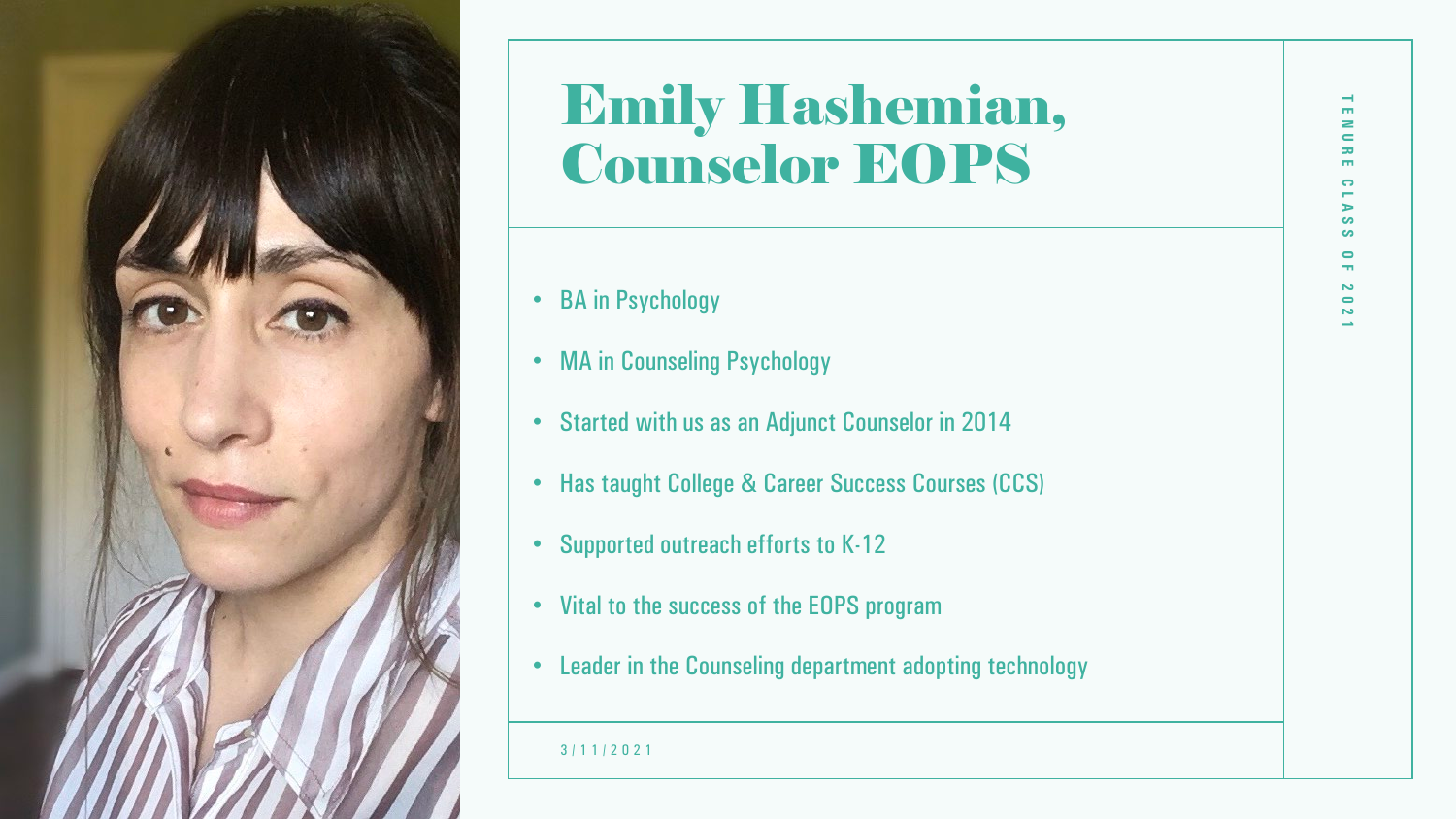

### Emily Hashemian, Counselor EOPS

- BA in Psychology
- MA in Counseling Psychology
- Started with us as an Adjunct Counselor in 2014
- Has taught College & Career Success Courses (CCS)
- Supported outreach efforts to K-12
- Vital to the success of the EOPS program
- Leader in the Counseling department adopting technology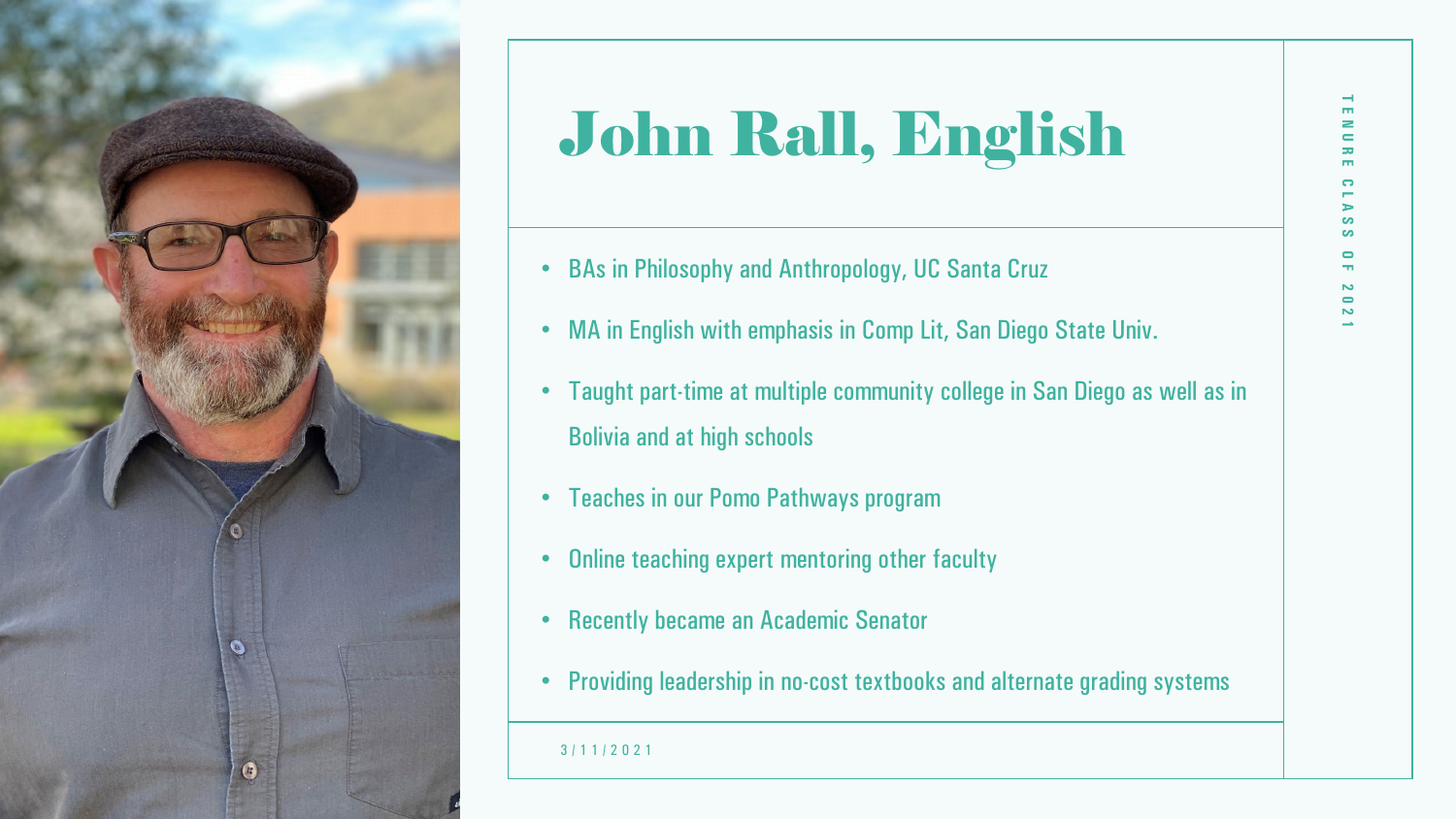

# John Rall, English

- BAs in Philosophy and Anthropology, UC Santa Cruz
- MA in English with emphasis in Comp Lit, San Diego State Univ.
- Taught part-time at multiple community college in San Diego as well as in Bolivia and at high schools
- Teaches in our Pomo Pathways program
- Online teaching expert mentoring other faculty
- Recently became an Academic Senator
- Providing leadership in no-cost textbooks and alternate grading systems